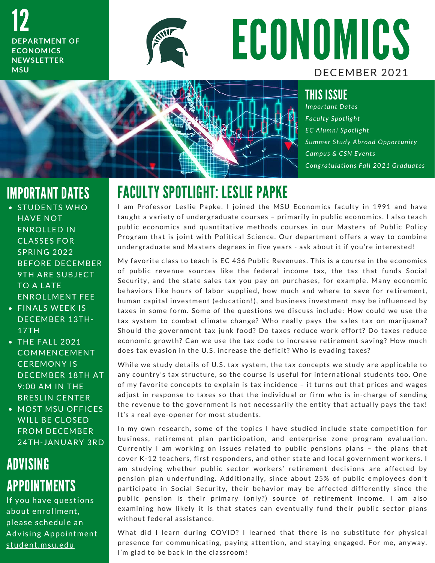12 **DEPARTMENT OF ECONOMICS N E W S L E T T E R M S U**



## ECONOMICS DECEMBER 2021



*Important Dates* **Faculty Spotlight** *E C A l u m n i S p o t l i g h t* Summer Study Abroad Opportunity *Campus & CSN Events Congratulations Fall 2021 Graduates* 

## IMPORTANT DATES

- STUDENTS WHO **HAVE NOT** ENROLLED IN **CLASSES FOR SPRING 2022 BEFORE DECEMBER** 9 TH ARE SUBJECT TO A LATE ENROLLMENT FEE
- FINALS WEEK IS DECEMBER 13TH-17TH
- $\bullet$  THE FALL 2021 **COMMENCEMENT CEREMONY IS** DECEMBER 18TH AT 9:00 AM IN THE **BRESLIN CENTER**
- MOST MSU OFFICES WILL BE CLOSED **FROM DECEMBER** 24TH-JANUARY 3RD

## ADVISING APPOINTMENTS

If you have questions about enrollment, please schedule an Advising Appointment student.msu.edu

## FACULTY SPOTLIGHT: LESLIE PAPKE

I am Professor Leslie Papke. I joined the MSU Economics faculty in 1991 and have T AUVETT UTU FERNITT ELULIE TATTLE<br>| am Professor Leslie Papke. | joined the MSU Economics faculty in 1991 and have<br>taught a variety of undergraduate courses – primarily in public economics. | also teach I am Protessor Leslie Papke. I joined the MSU Economics faculty in 1991 and have<br>taught a variety of undergraduate courses – primarily in public economics. I also teach<br>public economics and quantitative methods courses in public economics and quantitative methods courses in our Masters of Public Policy<br>Program that is joint with Political Science. Our department offers a way to combine public economics and quantitative methods courses in our Masters of Public Polic<br>Program that is joint with Political Science. Our department offers a way to combin<br>undergraduate and Masters degrees in five years - ask abo

undergraduate and Masters degrees in five years - ask about it if you're interested!<br>My favorite class to teach is EC 436 Public Revenues. This is a course in the economics My favorite class to teach is EC 436 Public Revenues. This is a course in the economics<br>of public revenue sources like the federal income tax, the tax that funds Social My favorite class to teach is EC 436 Public Revenues. This is a course in the economics<br>of public revenue sources like the federal income tax, the tax that funds Social<br>Security, and the state sales tax you pay on purchase Security, and the state sales tax you pay on purchases, for example. Many economic<br>behaviors like hours of labor supplied, how much and where to save for retirement, Security, and the state sales tax you pay on purchases, for example. Many economic<br>behaviors like hours of labor supplied, how much and where to save for retirement,<br>human capital investment (education!), and business inve behaviors like hours of labor supplied, how much and where to save for retirement,<br>human capital investment (education!), and business investment may be influenced by<br>taxes in some form. Some of the questions we discuss in taxes in some form. Some of the questions we discuss include: How could we use the<br>tax system to combat climate change? Who really pays the sales tax on marijuana? taxes in some form. Some of the questions we discuss include: How could we use the<br>tax system to combat climate change? Who really pays the sales tax on marijuana?<br>Should the government tax junk food? Do taxes reduce work tax system to combat climate change? Who really pays the sales tax on marijuana?<br>Should the government tax junk food? Do taxes reduce work effort? Do taxes reduce<br>economic growth? Can we use the tax code to increase retire economic growth? Can we use the tax code to increase retirement saving? How much<br>does tax evasion in the U.S. increase the deficit? Who is evading taxes?

does tax evasion in the U.S. increase the deficit? Who is evading taxes?<br>While we study details of U.S. tax system, the tax concepts we study are applicable to while we study details of U.S. tax system, the tax concepts we study are applicable to<br>any country's tax structure, so the course is useful for international students too. One any country's tax structure, so the course is useful for international students too. One<br>of my favorite concepts to explain is tax incidence – it turns out that prices and wages<br>adjust in response to taxes so that the indi of my favorite concepts to explain is tax incidence - it turns out that prices and wages of my favorite concepts to explain is tax incidence – it turns out that prices and wages<br>adjust in response to taxes so that the individual or firm who is in-charge of sending<br>the revenue to the government is not necessari adjust in response to taxes so that the ir<br>the revenue to the government is not nec<br>It's a real eye-opener for most students.

It's a real eye-opener for most students.<br>In my own research, some of the topics I have studied include state competition for In my own research, some of the topics I have studied include state competition for<br>business, retirement plan participation, and enterprise zone program evaluation. In my own research, some of the topics I have studied include state competition for<br>business, retirement plan participation, and enterprise zone program evaluation.<br>Currently I am working on issues related to public pensio business, retirement plan participation, and enterprise zone program evaluation.<br>Currently I am working on issues related to public pensions plans - the plans that<br>cover K-12 teachers, first responders, and other state and Currently I am working on issues related to public pensions plans – the plans that<br>cover K-12 teachers, first responders, and other state and local government workers. I<br>am studying whether public sector workers' retiremen cover K-12 teachers, first responders, and other state and local government workers. I<br>am studying whether public sector workers' retirement decisions are affected by<br>pension plan underfunding. Additionally, since about 25 pension plan underfunding. Additionally, since about 25% of public employees don't participate in Social Security, their behavior may be affected differently since the public pension is their primary (only?) source of retirement income. I am also examining how likely it is that states can eventually fund their public sector plans without federal assistance. examining how likely it is that states can eventually fund their public sector plans

What did I learn during COVID? I learned that there is no substitute for physical What did I learn during COVID? I learned that there is no substitute for physical<br>presence for communicating, paying attention, and staying engaged. For me, anyway. What did I learn during COVID? I le<br>presence for communicating, paying a<br>I'm glad to be back in the classroom!